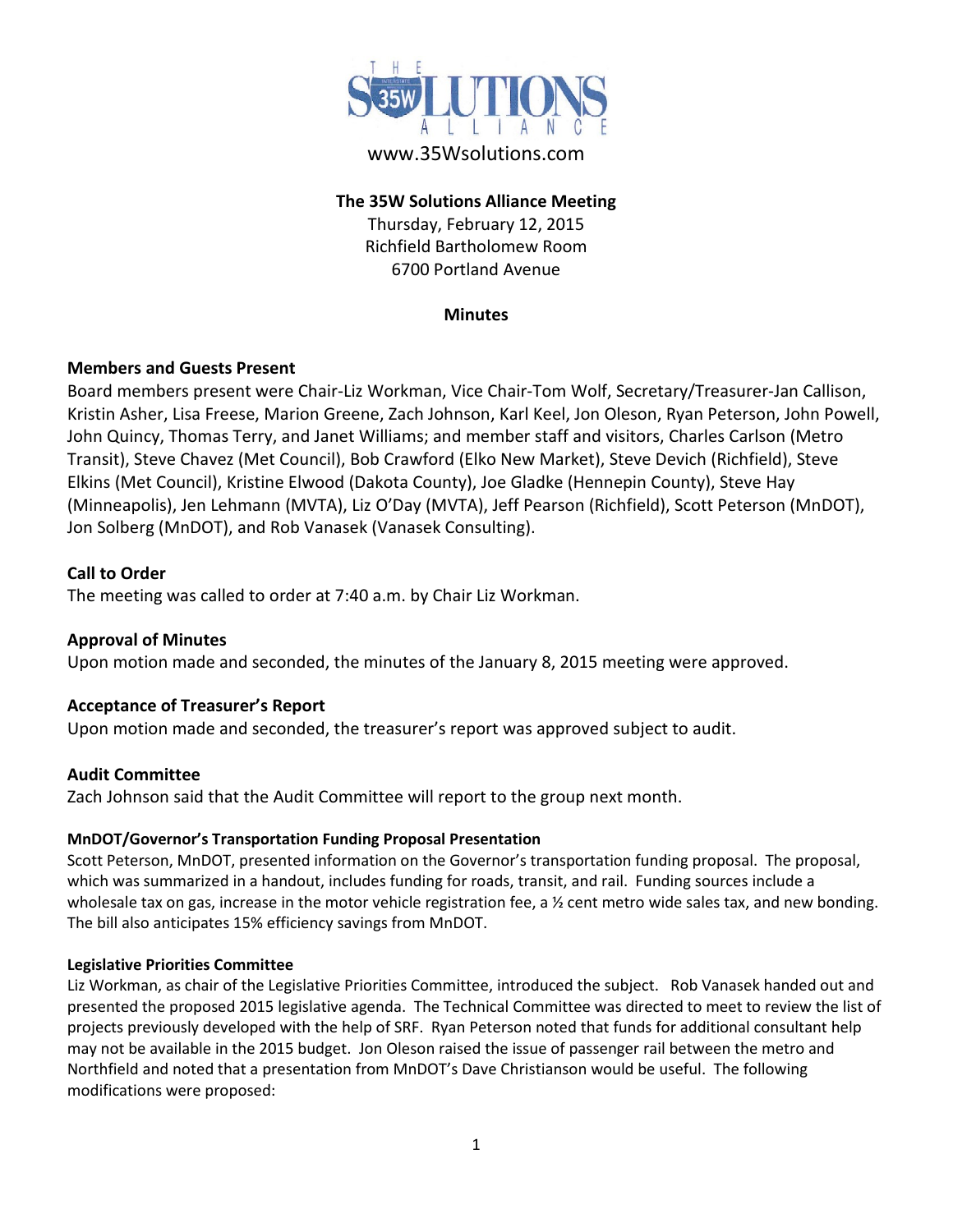

# www.35Wsolutions.com

# **The 35W Solutions Alliance Meeting**

Thursday, February 12, 2015 Richfield Bartholomew Room 6700 Portland Avenue

#### **Minutes**

# **Members and Guests Present**

Board members present were Chair-Liz Workman, Vice Chair-Tom Wolf, Secretary/Treasurer-Jan Callison, Kristin Asher, Lisa Freese, Marion Greene, Zach Johnson, Karl Keel, Jon Oleson, Ryan Peterson, John Powell, John Quincy, Thomas Terry, and Janet Williams; and member staff and visitors, Charles Carlson (Metro Transit), Steve Chavez (Met Council), Bob Crawford (Elko New Market), Steve Devich (Richfield), Steve Elkins (Met Council), Kristine Elwood (Dakota County), Joe Gladke (Hennepin County), Steve Hay (Minneapolis), Jen Lehmann (MVTA), Liz O'Day (MVTA), Jeff Pearson (Richfield), Scott Peterson (MnDOT), Jon Solberg (MnDOT), and Rob Vanasek (Vanasek Consulting).

### **Call to Order**

The meeting was called to order at 7:40 a.m. by Chair Liz Workman.

# **Approval of Minutes**

Upon motion made and seconded, the minutes of the January 8, 2015 meeting were approved.

#### **Acceptance of Treasurer's Report**

Upon motion made and seconded, the treasurer's report was approved subject to audit.

#### **Audit Committee**

Zach Johnson said that the Audit Committee will report to the group next month.

#### **MnDOT/Governor's Transportation Funding Proposal Presentation**

Scott Peterson, MnDOT, presented information on the Governor's transportation funding proposal. The proposal, which was summarized in a handout, includes funding for roads, transit, and rail. Funding sources include a wholesale tax on gas, increase in the motor vehicle registration fee, a  $\frac{y}{x}$  cent metro wide sales tax, and new bonding. The bill also anticipates 15% efficiency savings from MnDOT.

#### **Legislative Priorities Committee**

Liz Workman, as chair of the Legislative Priorities Committee, introduced the subject. Rob Vanasek handed out and presented the proposed 2015 legislative agenda. The Technical Committee was directed to meet to review the list of projects previously developed with the help of SRF. Ryan Peterson noted that funds for additional consultant help may not be available in the 2015 budget. Jon Oleson raised the issue of passenger rail between the metro and Northfield and noted that a presentation from MnDOT's Dave Christianson would be useful. The following modifications were proposed: